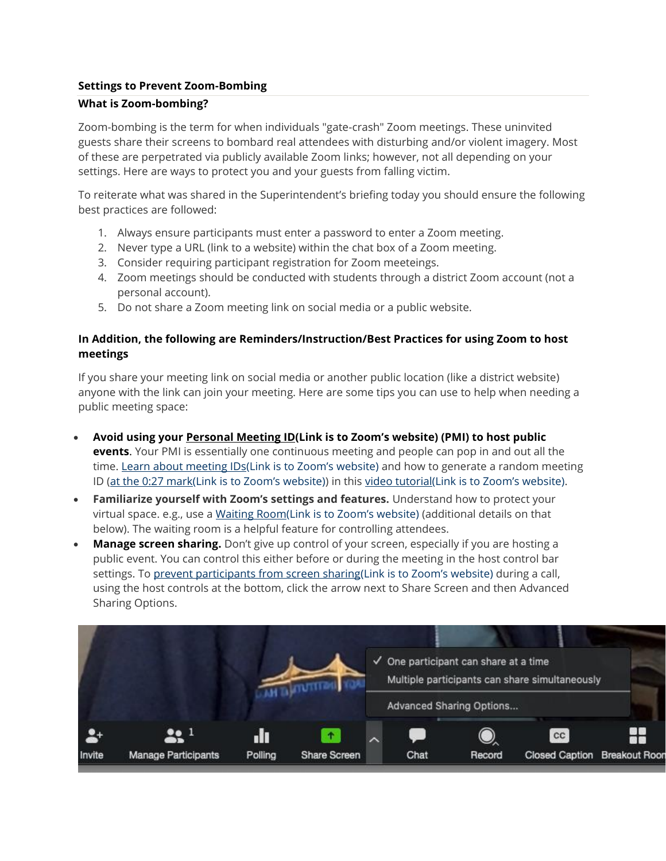## **Settings to Prevent Zoom-Bombing**

#### **What is Zoom-bombing?**

Zoom-bombing is the term for when individuals "gate-crash" Zoom meetings. These uninvited guests share their screens to bombard real attendees with disturbing and/or violent imagery. Most of these are perpetrated via publicly available Zoom links; however, not all depending on your settings. Here are ways to protect you and your guests from falling victim.

To reiterate what was shared in the Superintendent's briefing today you should ensure the following best practices are followed:

- 1. Always ensure participants must enter a password to enter a Zoom meeting.
- 2. Never type a URL (link to a website) within the chat box of a Zoom meeting.
- 3. Consider requiring participant registration for Zoom meeteings.
- 4. Zoom meetings should be conducted with students through a district Zoom account (not a personal account).
- 5. Do not share a Zoom meeting link on social media or a public website.

### **In Addition, the following are Reminders/Instruction/Best Practices for using Zoom to host meetings**

If you share your meeting link on social media or another public location (like a district website) anyone with the link can join your meeting. Here are some tips you can use to help when needing a public meeting space:

- **Avoid using your [Personal Meeting ID\(Link is to Zoom](https://support.zoom.us/hc/en-us/articles/203276937-Using-Personal-Meeting-ID-PMI-?zcid=1231)'s website) (PMI) to host public events**. Your PMI is essentially one continuous meeting and people can pop in and out all the time. [Learn about meeting IDs\(Link is to Zoom](https://support.zoom.us/hc/en-us/articles/201362413-Scheduling-meetings?zcid=1231)'s website) and how to generate a random meeting ID [\(at the 0:27 mark\(Link is to Zoom](https://youtu.be/XhZW3iyXV9U?t=27)'s website)) in this [video tutorial\(Link is to Zoom](https://youtu.be/XhZW3iyXV9U)'s website).
- **Familiarize yourself with Zoom's settings and features.** Understand how to protect your virtual space. e.g., use a [Waiting Room\(Link is to Zoom](https://support.zoom.us/hc/en-us/articles/115000332726-Waiting-Room?zcid=1231)'s website) (additional details on that below). The waiting room is a helpful feature for controlling attendees.
- Manage screen sharing. Don't give up control of your screen, especially if you are hosting a public event. You can control this either before or during the meeting in the host control bar settings. To [prevent participants from screen sharing\(Link is to Zoom](https://support.zoom.us/hc/en-us/articles/115005759423?zcid=1231)'s website) during a call, using the host controls at the bottom, click the arrow next to Share Screen and then Advanced Sharing Options.

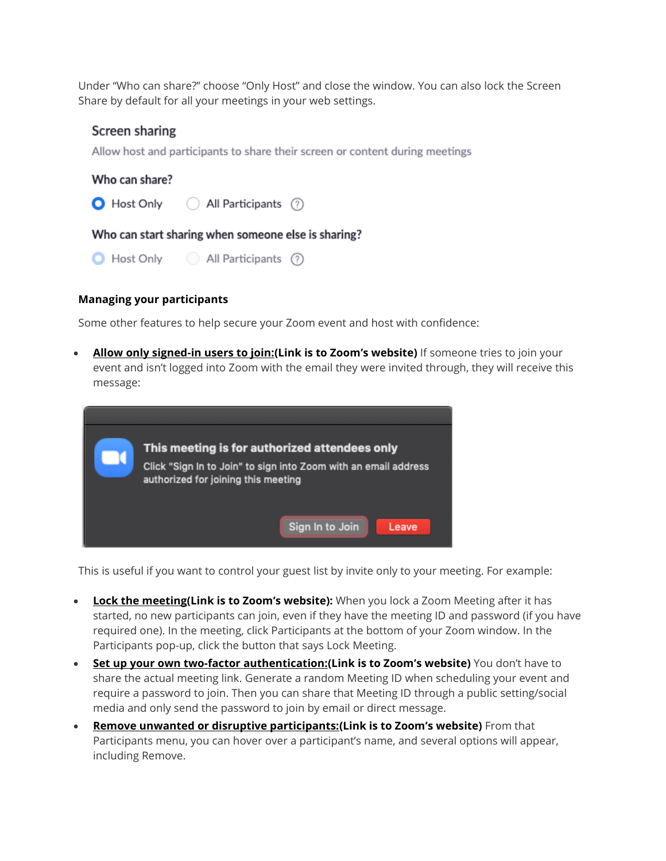Under "Who can share?" choose "Only Host" and close the window. You can also lock the Screen Share by default for all your meetings in your web settings.

# Screen sharing

Allow host and participants to share their screen or content during meetings

## Who can share?

(Resp. 1) All Participants (?)

Who can start sharing when someone else is sharing?

| Host Only | All Participants | ⊘ |
|-----------|------------------|---|
|           |                  |   |

### **Managing your participants**

Some other features to help secure your Zoom event and host with confidence:

 **[Allow only signed-in users to join:\(Link is to Zoom](https://support.zoom.us/hc/en-us/articles/360037117472-Authentication-Profiles-for-Meetings-and-Webinars?zcid=1231)'s website)** If someone tries to join your event and isn't logged into Zoom with the email they were invited through, they will receive this message:

| This meeting is for authorized attendees only<br>Click "Sign In to Join" to sign into Zoom with an email address<br>authorized for joining this meeting |  |
|---------------------------------------------------------------------------------------------------------------------------------------------------------|--|
| Sign In to Join<br>Leave                                                                                                                                |  |

This is useful if you want to control your guest list by invite only to your meeting. For example:

- **[Lock the meeting\(Link is to Zoom](https://support.zoom.us/hc/en-us/articles/201362603-Host-and-Co-Host-Controls-in-a-Meeting?zcid=1231)'s website):** When you lock a Zoom Meeting after it has started, no new participants can join, even if they have the meeting ID and password (if you have required one). In the meeting, click Participants at the bottom of your Zoom window. In the Participants pop-up, click the button that says Lock Meeting.
- **[Set up your own two-factor authentication:\(Link is to Zoom](https://support.zoom.us/hc/en-us/articles/360033559832-Meeting-and-Webinar-Passwords-?zcid=1231)'s website)** You don't have to share the actual meeting link. Generate a random Meeting ID when scheduling your event and require a password to join. Then you can share that Meeting ID through a public setting/social media and only send the password to join by email or direct message.
- **[Remove unwanted or disruptive participants:\(Link is to Zoom](https://support.zoom.us/hc/en-us/articles/115005759423-Managing-participants-in-a-meeting?zcid=1231)'s website)** From that Participants menu, you can hover over a participant's name, and several options will appear, including Remove.